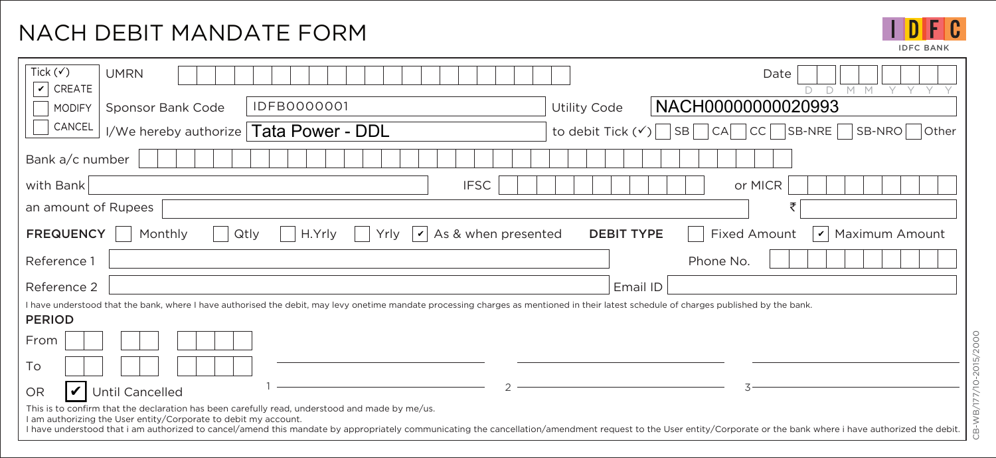## NACH DEBIT MANDATE FORM

IDFC IDFC BANK

| Tick $(\checkmark)$<br><b>UMRN</b><br>Date<br>CREATE<br>$\checkmark$<br>M M<br>$\Box$                                                                                                                                                                                                                                                                                                  |  |
|----------------------------------------------------------------------------------------------------------------------------------------------------------------------------------------------------------------------------------------------------------------------------------------------------------------------------------------------------------------------------------------|--|
| NACH00000000020993<br>IDFB0000001<br><b>Utility Code</b><br>Sponsor Bank Code<br><b>MODIFY</b>                                                                                                                                                                                                                                                                                         |  |
| CANCEL<br>Tata Power - DDL<br>to debit Tick $(\checkmark)$   SB   CA   CC   SB-NRE   SB-NRO   Other<br>I/We hereby authorize                                                                                                                                                                                                                                                           |  |
| Bank a/c number                                                                                                                                                                                                                                                                                                                                                                        |  |
| <b>IFSC</b><br>or MICR<br>with Bank                                                                                                                                                                                                                                                                                                                                                    |  |
| an amount of Rupees                                                                                                                                                                                                                                                                                                                                                                    |  |
| As & when presented<br><b>Fixed Amount</b><br><b>FREQUENCY</b><br>$\vert\!\vert$<br><b>DEBIT TYPE</b><br>Maximum Amount<br>Monthly<br>H.Yrly<br>Qtly<br>$\checkmark$<br>Yrly                                                                                                                                                                                                           |  |
| Reference 1<br>Phone No.                                                                                                                                                                                                                                                                                                                                                               |  |
| Reference 2<br>Email ID                                                                                                                                                                                                                                                                                                                                                                |  |
| I have understood that the bank, where I have authorised the debit, may levy onetime mandate processing charges as mentioned in their latest schedule of charges published by the bank.<br><b>PERIOD</b>                                                                                                                                                                               |  |
| From                                                                                                                                                                                                                                                                                                                                                                                   |  |
| To                                                                                                                                                                                                                                                                                                                                                                                     |  |
| V<br>Until Cancelled<br><b>OR</b>                                                                                                                                                                                                                                                                                                                                                      |  |
| This is to confirm that the declaration has been carefully read, understood and made by me/us.<br>I am authorizing the User entity/Corporate to debit my account.<br>I have understood that i am authorized to cancel/amend this mandate by appropriately communicating the cancellation/amendment request to the User entity/Corporate or the bank where i have authorized the debit. |  |